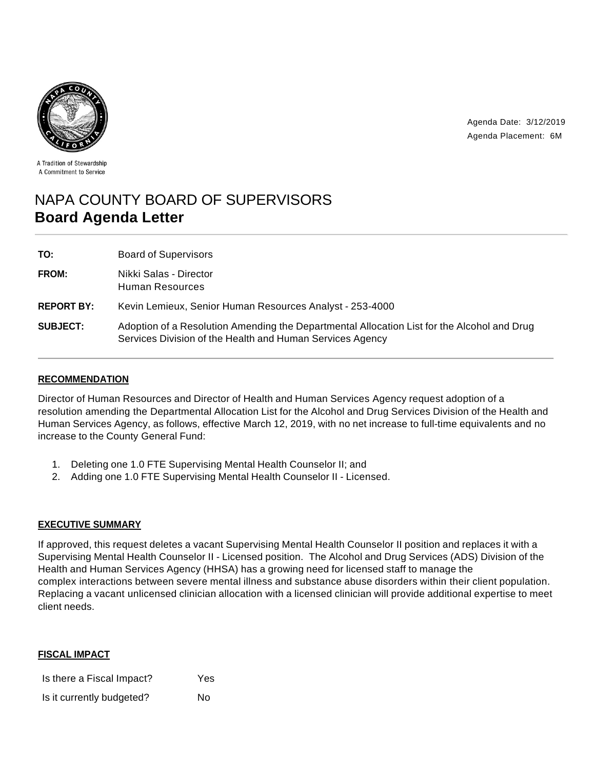



A Tradition of Stewardship A Commitment to Service

# NAPA COUNTY BOARD OF SUPERVISORS **Board Agenda Letter**

**TO:** Board of Supervisors **FROM:** Nikki Salas - Director Human Resources **REPORT BY:** Kevin Lemieux, Senior Human Resources Analyst - 253-4000 **SUBJECT:** Adoption of a Resolution Amending the Departmental Allocation List for the Alcohol and Drug Services Division of the Health and Human Services Agency

## **RECOMMENDATION**

Director of Human Resources and Director of Health and Human Services Agency request adoption of a resolution amending the Departmental Allocation List for the Alcohol and Drug Services Division of the Health and Human Services Agency, as follows, effective March 12, 2019, with no net increase to full-time equivalents and no increase to the County General Fund:

- 1. Deleting one 1.0 FTE Supervising Mental Health Counselor II; and
- 2. Adding one 1.0 FTE Supervising Mental Health Counselor II Licensed.

## **EXECUTIVE SUMMARY**

If approved, this request deletes a vacant Supervising Mental Health Counselor II position and replaces it with a Supervising Mental Health Counselor II - Licensed position. The Alcohol and Drug Services (ADS) Division of the Health and Human Services Agency (HHSA) has a growing need for licensed staff to manage the complex interactions between severe mental illness and substance abuse disorders within their client population. Replacing a vacant unlicensed clinician allocation with a licensed clinician will provide additional expertise to meet client needs.

| <b>FISCAL IMPACT</b> |  |
|----------------------|--|
|                      |  |

| Is there a Fiscal Impact? | Yes |
|---------------------------|-----|
| Is it currently budgeted? | N٥  |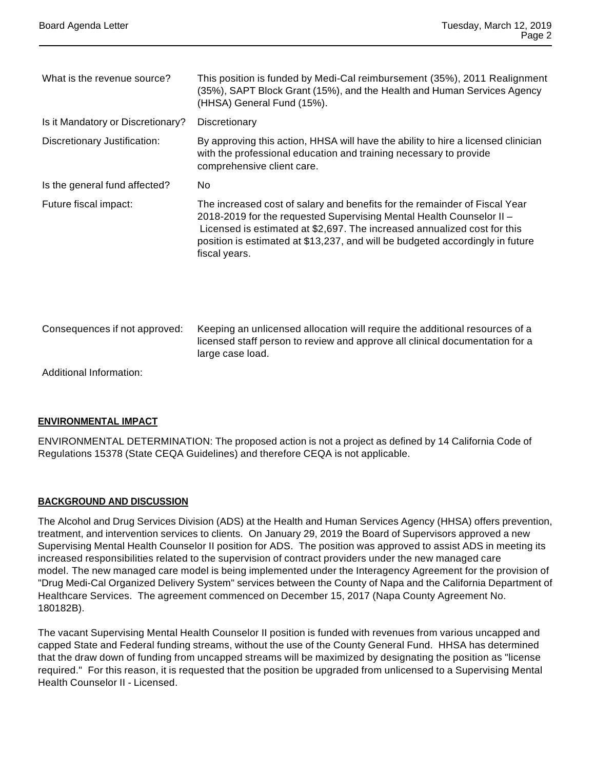| What is the revenue source?       | This position is funded by Medi-Cal reimbursement (35%), 2011 Realignment<br>(35%), SAPT Block Grant (15%), and the Health and Human Services Agency<br>(HHSA) General Fund (15%).                                                                                                                                               |
|-----------------------------------|----------------------------------------------------------------------------------------------------------------------------------------------------------------------------------------------------------------------------------------------------------------------------------------------------------------------------------|
| Is it Mandatory or Discretionary? | Discretionary                                                                                                                                                                                                                                                                                                                    |
| Discretionary Justification:      | By approving this action, HHSA will have the ability to hire a licensed clinician<br>with the professional education and training necessary to provide<br>comprehensive client care.                                                                                                                                             |
| Is the general fund affected?     | No.                                                                                                                                                                                                                                                                                                                              |
| Future fiscal impact:             | The increased cost of salary and benefits for the remainder of Fiscal Year<br>2018-2019 for the requested Supervising Mental Health Counselor II -<br>Licensed is estimated at \$2,697. The increased annualized cost for this<br>position is estimated at \$13,237, and will be budgeted accordingly in future<br>fiscal years. |
| Consequences if not approved:     | Keeping an unlicensed allocation will require the additional resources of a<br>licensed staff person to review and approve all clinical documentation for a<br>large case load.                                                                                                                                                  |
| Additional Information:           |                                                                                                                                                                                                                                                                                                                                  |

## **ENVIRONMENTAL IMPACT**

ENVIRONMENTAL DETERMINATION: The proposed action is not a project as defined by 14 California Code of Regulations 15378 (State CEQA Guidelines) and therefore CEQA is not applicable.

## **BACKGROUND AND DISCUSSION**

The Alcohol and Drug Services Division (ADS) at the Health and Human Services Agency (HHSA) offers prevention, treatment, and intervention services to clients. On January 29, 2019 the Board of Supervisors approved a new Supervising Mental Health Counselor II position for ADS. The position was approved to assist ADS in meeting its increased responsibilities related to the supervision of contract providers under the new managed care model. The new managed care model is being implemented under the Interagency Agreement for the provision of "Drug Medi-Cal Organized Delivery System" services between the County of Napa and the California Department of Healthcare Services. The agreement commenced on December 15, 2017 (Napa County Agreement No. 180182B).

The vacant Supervising Mental Health Counselor II position is funded with revenues from various uncapped and capped State and Federal funding streams, without the use of the County General Fund. HHSA has determined that the draw down of funding from uncapped streams will be maximized by designating the position as "license required." For this reason, it is requested that the position be upgraded from unlicensed to a Supervising Mental Health Counselor II - Licensed.